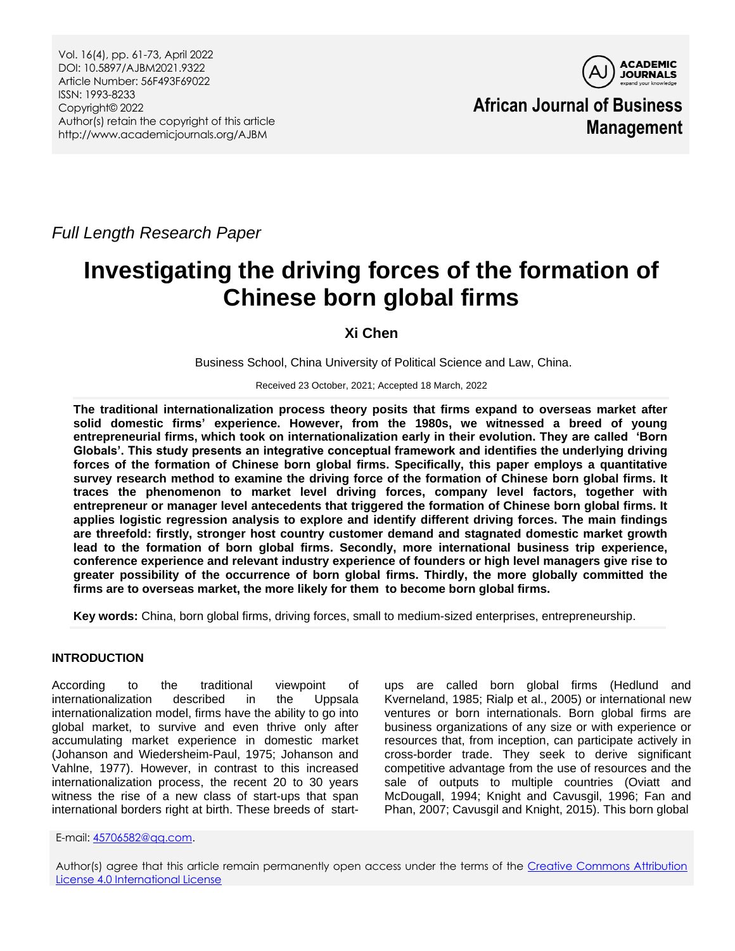

**African Journal of Business Management**

*Full Length Research Paper*

# **Investigating the driving forces of the formation of Chinese born global firms**

**Xi Chen**

Business School, China University of Political Science and Law, China.

Received 23 October, 2021; Accepted 18 March, 2022

**The traditional internationalization process theory posits that firms expand to overseas market after solid domestic firms' experience. However, from the 1980s, we witnessed a breed of young entrepreneurial firms, which took on internationalization early in their evolution. They are called 'Born Globals'. This study presents an integrative conceptual framework and identifies the underlying driving forces of the formation of Chinese born global firms. Specifically, this paper employs a quantitative survey research method to examine the driving force of the formation of Chinese born global firms. It traces the phenomenon to market level driving forces, company level factors, together with entrepreneur or manager level antecedents that triggered the formation of Chinese born global firms. It applies logistic regression analysis to explore and identify different driving forces. The main findings are threefold: firstly, stronger host country customer demand and stagnated domestic market growth lead to the formation of born global firms. Secondly, more international business trip experience, conference experience and relevant industry experience of founders or high level managers give rise to greater possibility of the occurrence of born global firms. Thirdly, the more globally committed the firms are to overseas market, the more likely for them to become born global firms.** 

**Key words:** China, born global firms, driving forces, small to medium-sized enterprises, entrepreneurship.

# **INTRODUCTION**

According to the traditional viewpoint of internationalization described in the Uppsala internationalization model, firms have the ability to go into global market, to survive and even thrive only after accumulating market experience in domestic market (Johanson and Wiedersheim-Paul, 1975; Johanson and Vahlne, 1977). However, in contrast to this increased internationalization process, the recent 20 to 30 years witness the rise of a new class of start-ups that span international borders right at birth. These breeds of start-

ups are called born global firms (Hedlund and Kverneland, 1985; Rialp et al., 2005) or international new ventures or born internationals. Born global firms are business organizations of any size or with experience or resources that, from inception, can participate actively in cross-border trade. They seek to derive significant competitive advantage from the use of resources and the sale of outputs to multiple countries (Oviatt and McDougall, 1994; Knight and Cavusgil, 1996; Fan and Phan, 2007; Cavusgil and Knight, 2015). This born global

E-mail[: 45706582@qq.com.](mailto:45706582@qq.com)

Author(s) agree that this article remain permanently open access under the terms of the [Creative Commons Attribution](http://creativecommons.org/licenses/by/4.0/deed.en_US)  [License 4.0 International License](http://creativecommons.org/licenses/by/4.0/deed.en_US)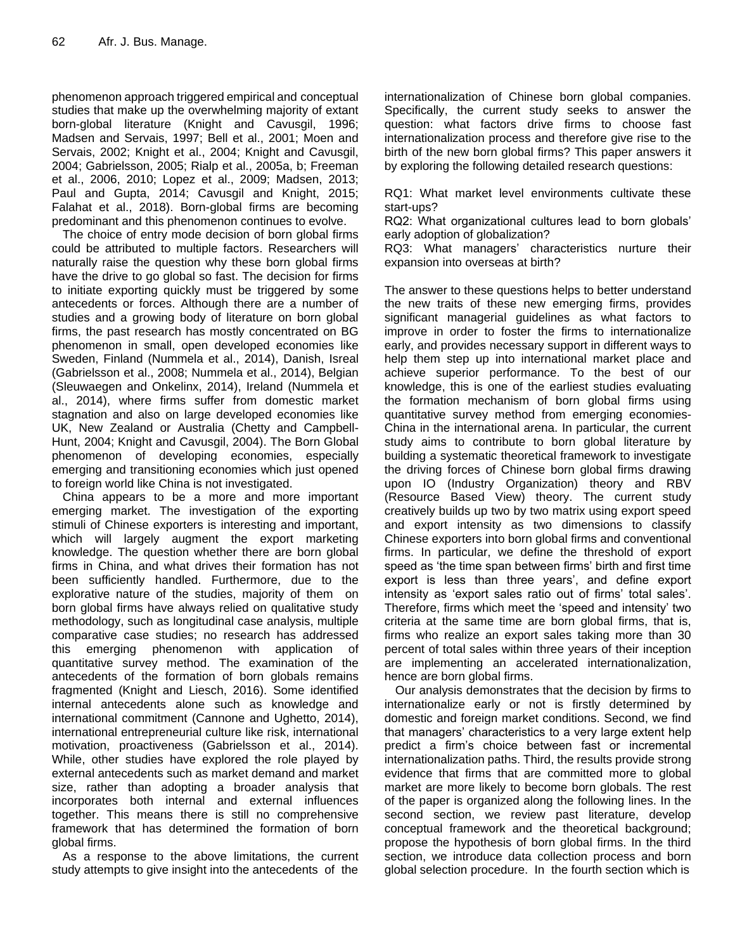phenomenon approach triggered empirical and conceptual studies that make up the overwhelming majority of extant born-global literature (Knight and Cavusgil, 1996; Madsen and Servais, 1997; Bell et al., 2001; Moen and Servais, 2002; Knight et al., 2004; Knight and Cavusgil, 2004; Gabrielsson, 2005; Rialp et al., 2005a, b; Freeman et al., 2006, 2010; Lopez et al., 2009; Madsen, 2013; Paul and Gupta, 2014; Cavusgil and Knight, 2015; Falahat et al., 2018). Born-global firms are becoming predominant and this phenomenon continues to evolve.

The choice of entry mode decision of born global firms could be attributed to multiple factors. Researchers will naturally raise the question why these born global firms have the drive to go global so fast. The decision for firms to initiate exporting quickly must be triggered by some antecedents or forces. Although there are a number of studies and a growing body of literature on born global firms, the past research has mostly concentrated on BG phenomenon in small, open developed economies like Sweden, Finland (Nummela et al., 2014), Danish, Isreal (Gabrielsson et al., 2008; Nummela et al., 2014), Belgian (Sleuwaegen and Onkelinx, 2014), Ireland (Nummela et al., 2014), where firms suffer from domestic market stagnation and also on large developed economies like UK, New Zealand or Australia (Chetty and Campbell-Hunt, 2004; Knight and Cavusgil, 2004). The Born Global phenomenon of developing economies, especially emerging and transitioning economies which just opened to foreign world like China is not investigated.

China appears to be a more and more important emerging market. The investigation of the exporting stimuli of Chinese exporters is interesting and important, which will largely augment the export marketing knowledge. The question whether there are born global firms in China, and what drives their formation has not been sufficiently handled. Furthermore, due to the explorative nature of the studies, majority of them on born global firms have always relied on qualitative study methodology, such as longitudinal case analysis, multiple comparative case studies; no research has addressed this emerging phenomenon with application of quantitative survey method. The examination of the antecedents of the formation of born globals remains fragmented (Knight and Liesch, 2016). Some identified internal antecedents alone such as knowledge and international commitment (Cannone and Ughetto, 2014), international entrepreneurial culture like risk, international motivation, proactiveness (Gabrielsson et al., 2014). While, other studies have explored the role played by external antecedents such as market demand and market size, rather than adopting a broader analysis that incorporates both internal and external influences together. This means there is still no comprehensive framework that has determined the formation of born global firms.

As a response to the above limitations, the current study attempts to give insight into the antecedents of the

internationalization of Chinese born global companies. Specifically, the current study seeks to answer the question: what factors drive firms to choose fast internationalization process and therefore give rise to the birth of the new born global firms? This paper answers it by exploring the following detailed research questions:

RQ1: What market level environments cultivate these start-ups?

RQ2: What organizational cultures lead to born globals' early adoption of globalization?

RQ3: What managers' characteristics nurture their expansion into overseas at birth?

The answer to these questions helps to better understand the new traits of these new emerging firms, provides significant managerial guidelines as what factors to improve in order to foster the firms to internationalize early, and provides necessary support in different ways to help them step up into international market place and achieve superior performance. To the best of our knowledge, this is one of the earliest studies evaluating the formation mechanism of born global firms using quantitative survey method from emerging economies-China in the international arena. In particular, the current study aims to contribute to born global literature by building a systematic theoretical framework to investigate the driving forces of Chinese born global firms drawing upon IO (Industry Organization) theory and RBV (Resource Based View) theory. The current study creatively builds up two by two matrix using export speed and export intensity as two dimensions to classify Chinese exporters into born global firms and conventional firms. In particular, we define the threshold of export speed as 'the time span between firms' birth and first time export is less than three years', and define export intensity as 'export sales ratio out of firms' total sales'. Therefore, firms which meet the 'speed and intensity' two criteria at the same time are born global firms, that is, firms who realize an export sales taking more than 30 percent of total sales within three years of their inception are implementing an accelerated internationalization, hence are born global firms.

Our analysis demonstrates that the decision by firms to internationalize early or not is firstly determined by domestic and foreign market conditions. Second, we find that managers' characteristics to a very large extent help predict a firm's choice between fast or incremental internationalization paths. Third, the results provide strong evidence that firms that are committed more to global market are more likely to become born globals. The rest of the paper is organized along the following lines. In the second section, we review past literature, develop conceptual framework and the theoretical background; propose the hypothesis of born global firms. In the third section, we introduce data collection process and born global selection procedure. In the fourth section which is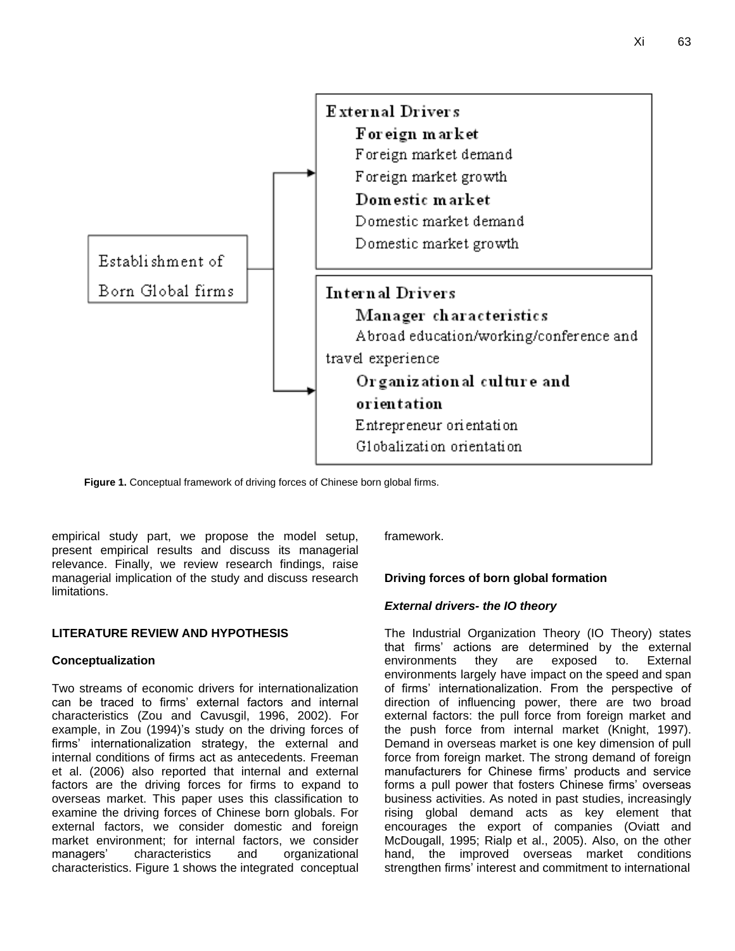

**Figure 1.** Conceptual framework of driving forces of Chinese born global firms.

empirical study part, we propose the model setup, present empirical results and discuss its managerial relevance. Finally, we review research findings, raise managerial implication of the study and discuss research limitations.

## **LITERATURE REVIEW AND HYPOTHESIS**

## **Conceptualization**

Two streams of economic drivers for internationalization can be traced to firms' external factors and internal characteristics (Zou and Cavusgil, 1996, 2002). For example, in Zou (1994)'s study on the driving forces of firms' internationalization strategy, the external and internal conditions of firms act as antecedents. Freeman et al. (2006) also reported that internal and external factors are the driving forces for firms to expand to overseas market. This paper uses this classification to examine the driving forces of Chinese born globals. For external factors, we consider domestic and foreign market environment; for internal factors, we consider managers' characteristics and organizational characteristics. Figure 1 shows the integrated conceptual framework.

# **Driving forces of born global formation**

## *External drivers- the IO theory*

The Industrial Organization Theory (IO Theory) states that firms' actions are determined by the external environments they are exposed to. External environments largely have impact on the speed and span of firms' internationalization. From the perspective of direction of influencing power, there are two broad external factors: the pull force from foreign market and the push force from internal market (Knight, 1997). Demand in overseas market is one key dimension of pull force from foreign market. The strong demand of foreign manufacturers for Chinese firms' products and service forms a pull power that fosters Chinese firms' overseas business activities. As noted in past studies, increasingly rising global demand acts as key element that encourages the export of companies (Oviatt and McDougall, 1995; Rialp et al., 2005). Also, on the other hand, the improved overseas market conditions strengthen firms' interest and commitment to international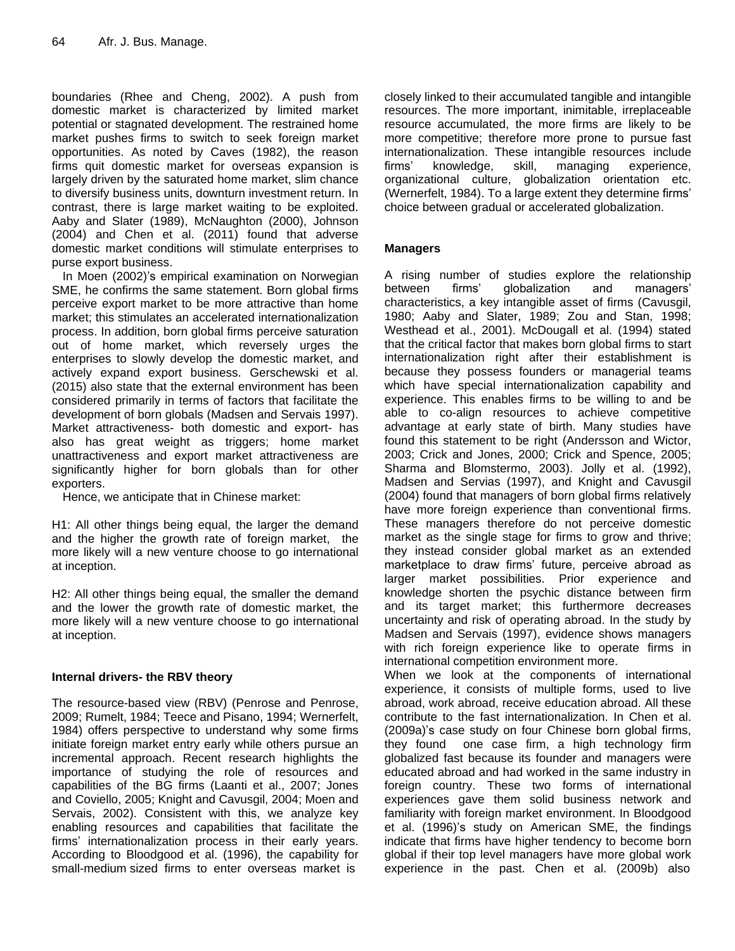boundaries (Rhee and Cheng, 2002). A push from domestic market is characterized by limited market potential or stagnated development. The restrained home market pushes firms to switch to seek foreign market opportunities. As noted by Caves (1982), the reason firms quit domestic market for overseas expansion is largely driven by the saturated home market, slim chance to diversify business units, downturn investment return. In contrast, there is large market waiting to be exploited. Aaby and Slater (1989), McNaughton (2000), Johnson (2004) and Chen et al. (2011) found that adverse domestic market conditions will stimulate enterprises to purse export business.

In Moen (2002)'s empirical examination on Norwegian SME, he confirms the same statement. Born global firms perceive export market to be more attractive than home market; this stimulates an accelerated internationalization process. In addition, born global firms perceive saturation out of home market, which reversely urges the enterprises to slowly develop the domestic market, and actively expand export business. Gerschewski et al. (2015) also state that the external environment has been considered primarily in terms of factors that facilitate the development of born globals (Madsen and Servais 1997). Market attractiveness- both domestic and export- has also has great weight as triggers; home market unattractiveness and export market attractiveness are significantly higher for born globals than for other exporters.

Hence, we anticipate that in Chinese market:

H1: All other things being equal, the larger the demand and the higher the growth rate of foreign market, the more likely will a new venture choose to go international at inception.

H2: All other things being equal, the smaller the demand and the lower the growth rate of domestic market, the more likely will a new venture choose to go international at inception.

# **Internal drivers- the RBV theory**

The resource-based view (RBV) (Penrose and Penrose, 2009; Rumelt, 1984; Teece and Pisano, 1994; Wernerfelt, 1984) offers perspective to understand why some firms initiate foreign market entry early while others pursue an incremental approach. Recent research highlights the importance of studying the role of resources and capabilities of the BG firms (Laanti et al., 2007; Jones and Coviello, 2005; Knight and Cavusgil, 2004; Moen and Servais, 2002). Consistent with this, we analyze key enabling resources and capabilities that facilitate the firms' internationalization process in their early years. According to Bloodgood et al. (1996), the capability for small-medium sized firms to enter overseas market is

closely linked to their accumulated tangible and intangible resources. The more important, inimitable, irreplaceable resource accumulated, the more firms are likely to be more competitive; therefore more prone to pursue fast internationalization. These intangible resources include firms' knowledge, skill, managing experience, organizational culture, globalization orientation etc. (Wernerfelt, 1984). To a large extent they determine firms' choice between gradual or accelerated globalization.

# **Managers**

A rising number of studies explore the relationship between firms' globalization and managers' characteristics, a key intangible asset of firms (Cavusgil, 1980; Aaby and Slater, 1989; Zou and Stan, 1998; Westhead et al., 2001). McDougall et al. (1994) stated that the critical factor that makes born global firms to start internationalization right after their establishment is because they possess founders or managerial teams which have special internationalization capability and experience. This enables firms to be willing to and be able to co-align resources to achieve competitive advantage at early state of birth. Many studies have found this statement to be right (Andersson and Wictor, 2003; Crick and Jones, 2000; Crick and Spence, 2005; Sharma and Blomstermo, 2003). Jolly et al. (1992), Madsen and Servias (1997), and Knight and Cavusgil (2004) found that managers of born global firms relatively have more foreign experience than conventional firms. These managers therefore do not perceive domestic market as the single stage for firms to grow and thrive; they instead consider global market as an extended marketplace to draw firms' future, perceive abroad as larger market possibilities. Prior experience and knowledge shorten the psychic distance between firm and its target market; this furthermore decreases uncertainty and risk of operating abroad. In the study by Madsen and Servais (1997), evidence shows managers with rich foreign experience like to operate firms in international competition environment more.

When we look at the components of international experience, it consists of multiple forms, used to live abroad, work abroad, receive education abroad. All these contribute to the fast internationalization. In Chen et al. (2009a)'s case study on four Chinese born global firms, they found one case firm, a high technology firm globalized fast because its founder and managers were educated abroad and had worked in the same industry in foreign country. These two forms of international experiences gave them solid business network and familiarity with foreign market environment. In Bloodgood et al. (1996)'s study on American SME, the findings indicate that firms have higher tendency to become born global if their top level managers have more global work experience in the past. Chen et al. (2009b) also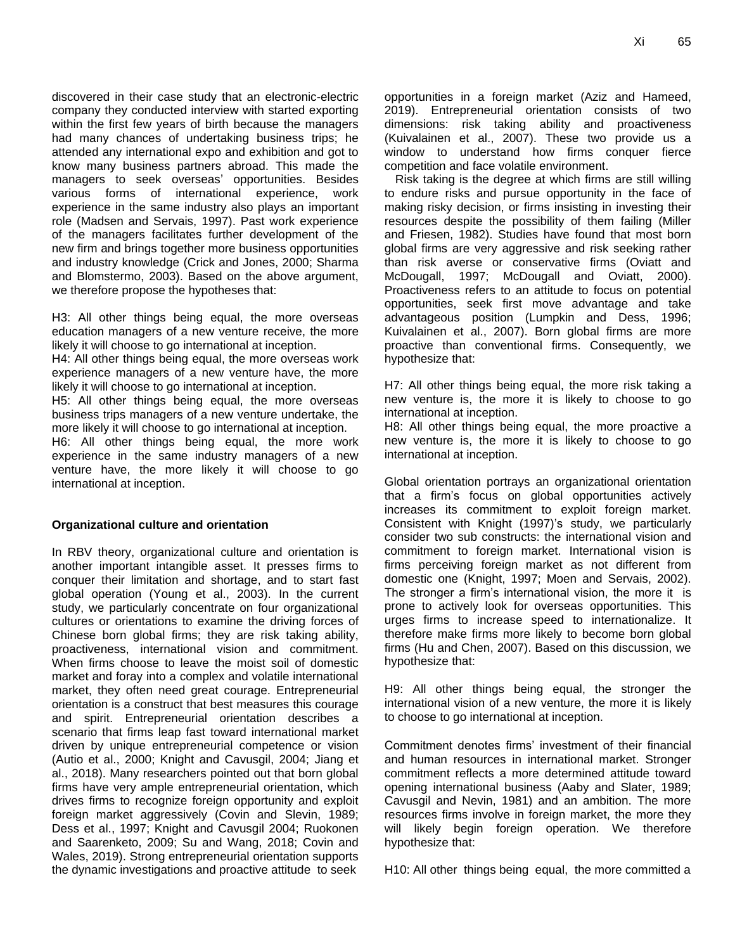discovered in their case study that an electronic-electric company they conducted interview with started exporting within the first few years of birth because the managers had many chances of undertaking business trips; he attended any international expo and exhibition and got to know many business partners abroad. This made the managers to seek overseas' opportunities. Besides various forms of international experience, work experience in the same industry also plays an important role (Madsen and Servais, 1997). Past work experience of the managers facilitates further development of the new firm and brings together more business opportunities and industry knowledge (Crick and Jones, 2000; Sharma and Blomstermo, 2003). Based on the above argument, we therefore propose the hypotheses that:

H3: All other things being equal, the more overseas education managers of a new venture receive, the more likely it will choose to go international at inception.

H4: All other things being equal, the more overseas work experience managers of a new venture have, the more likely it will choose to go international at inception.

H5: All other things being equal, the more overseas business trips managers of a new venture undertake, the more likely it will choose to go international at inception.

H6: All other things being equal, the more work experience in the same industry managers of a new venture have, the more likely it will choose to go international at inception.

## **Organizational culture and orientation**

In RBV theory, organizational culture and orientation is another important intangible asset. It presses firms to conquer their limitation and shortage, and to start fast global operation (Young et al., 2003). In the current study, we particularly concentrate on four organizational cultures or orientations to examine the driving forces of Chinese born global firms; they are risk taking ability, proactiveness, international vision and commitment. When firms choose to leave the moist soil of domestic market and foray into a complex and volatile international market, they often need great courage. Entrepreneurial orientation is a construct that best measures this courage and spirit. Entrepreneurial orientation describes a scenario that firms leap fast toward international market driven by unique entrepreneurial competence or vision (Autio et al., 2000; Knight and Cavusgil, 2004; Jiang et al., 2018). Many researchers pointed out that born global firms have very ample entrepreneurial orientation, which drives firms to recognize foreign opportunity and exploit foreign market aggressively (Covin and Slevin, 1989; Dess et al., 1997; Knight and Cavusgil 2004; Ruokonen and Saarenketo, 2009; Su and Wang, 2018; Covin and Wales, 2019). Strong entrepreneurial orientation supports the dynamic investigations and proactive attitude to seek opportunities in a foreign market (Aziz and Hameed, 2019). Entrepreneurial orientation consists of two dimensions: risk taking ability and proactiveness (Kuivalainen et al., 2007). These two provide us a window to understand how firms conquer fierce competition and face volatile environment.

Risk taking is the degree at which firms are still willing to endure risks and pursue opportunity in the face of making risky decision, or firms insisting in investing their resources despite the possibility of them failing (Miller and Friesen, 1982). Studies have found that most born global firms are very aggressive and risk seeking rather than risk averse or conservative firms (Oviatt and McDougall, 1997; McDougall and Oviatt, 2000). Proactiveness refers to an attitude to focus on potential opportunities, seek first move advantage and take advantageous position (Lumpkin and Dess, 1996; Kuivalainen et al., 2007). Born global firms are more proactive than conventional firms. Consequently, we hypothesize that:

H7: All other things being equal, the more risk taking a new venture is, the more it is likely to choose to go international at inception.

H8: All other things being equal, the more proactive a new venture is, the more it is likely to choose to go international at inception.

Global orientation portrays an organizational orientation that a firm's focus on global opportunities actively increases its commitment to exploit foreign market. Consistent with Knight (1997)'s study, we particularly consider two sub constructs: the international vision and commitment to foreign market. International vision is firms perceiving foreign market as not different from domestic one (Knight, 1997; Moen and Servais, 2002). The stronger a firm's international vision, the more it is prone to actively look for overseas opportunities. This urges firms to increase speed to internationalize. It therefore make firms more likely to become born global firms (Hu and Chen, 2007). Based on this discussion, we hypothesize that:

H9: All other things being equal, the stronger the international vision of a new venture, the more it is likely to choose to go international at inception.

Commitment denotes firms' investment of their financial and human resources in international market. Stronger commitment reflects a more determined attitude toward opening international business (Aaby and Slater, 1989; Cavusgil and Nevin, 1981) and an ambition. The more resources firms involve in foreign market, the more they will likely begin foreign operation. We therefore hypothesize that:

H10: All other things being equal, the more committed a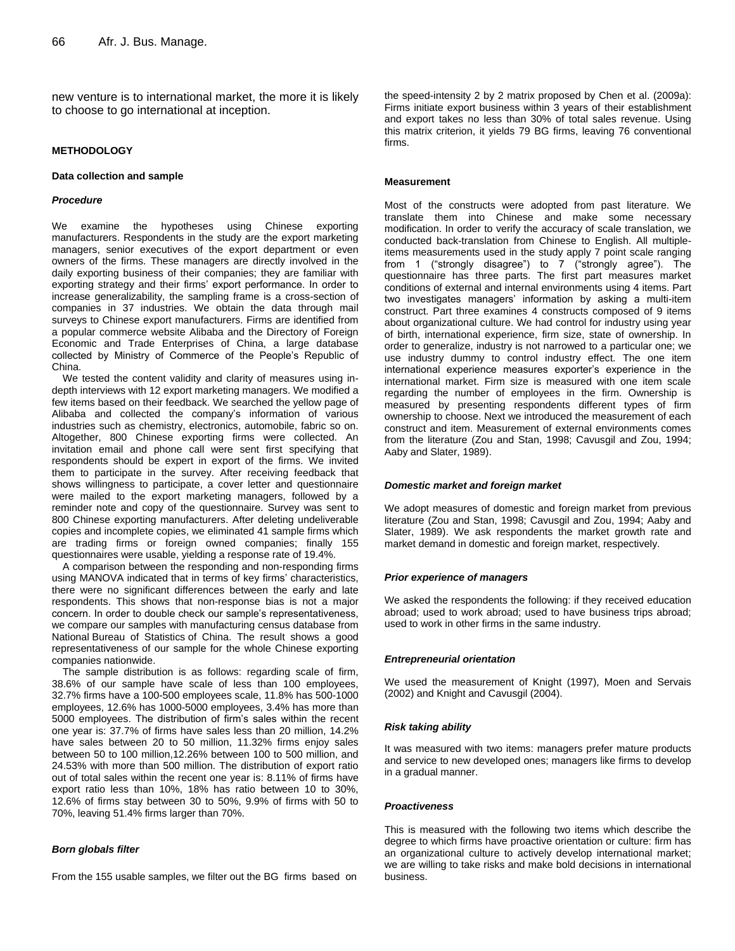new venture is to international market, the more it is likely to choose to go international at inception.

#### **METHODOLOGY**

#### **Data collection and sample**

#### *Procedure*

We examine the hypotheses using Chinese exporting manufacturers. Respondents in the study are the export marketing managers, senior executives of the export department or even owners of the firms. These managers are directly involved in the daily exporting business of their companies; they are familiar with exporting strategy and their firms' export performance. In order to increase generalizability, the sampling frame is a cross-section of companies in 37 industries. We obtain the data through mail surveys to Chinese export manufacturers. Firms are identified from a popular commerce website Alibaba and the Directory of Foreign Economic and Trade Enterprises of China, a large database collected by Ministry of Commerce of the People's Republic of China.

We tested the content validity and clarity of measures using indepth interviews with 12 export marketing managers. We modified a few items based on their feedback. We searched the yellow page of Alibaba and collected the company's information of various industries such as chemistry, electronics, automobile, fabric so on. Altogether, 800 Chinese exporting firms were collected. An invitation email and phone call were sent first specifying that respondents should be expert in export of the firms. We invited them to participate in the survey. After receiving feedback that shows willingness to participate, a cover letter and questionnaire were mailed to the export marketing managers, followed by a reminder note and copy of the questionnaire. Survey was sent to 800 Chinese exporting manufacturers. After deleting undeliverable copies and incomplete copies, we eliminated 41 sample firms which are trading firms or foreign owned companies; finally 155 questionnaires were usable, yielding a response rate of 19.4%.

A comparison between the responding and non-responding firms using MANOVA indicated that in terms of key firms' characteristics, there were no significant differences between the early and late respondents. This shows that non-response bias is not a major concern. In order to double check our sample's representativeness, we compare our samples with manufacturing census database from National [Bureau of Statistics](http://www.stats.gov.cn/enGliSH/) of China. The result shows a good representativeness of our sample for the whole Chinese exporting companies nationwide.

The sample distribution is as follows: regarding scale of firm, 38.6% of our sample have scale of less than 100 employees, 32.7% firms have a 100-500 employees scale, 11.8% has 500-1000 employees, 12.6% has 1000-5000 employees, 3.4% has more than 5000 employees. The distribution of firm's sales within the recent one year is: 37.7% of firms have sales less than 20 million, 14.2% have sales between 20 to 50 million, 11.32% firms enjoy sales between 50 to 100 million,12.26% between 100 to 500 million, and 24.53% with more than 500 million. The distribution of export ratio out of total sales within the recent one year is: 8.11% of firms have export ratio less than 10%, 18% has ratio between 10 to 30%, 12.6% of firms stay between 30 to 50%, 9.9% of firms with 50 to 70%, leaving 51.4% firms larger than 70%.

#### *Born globals filter*

From the 155 usable samples, we filter out the BG firms based on

the speed-intensity 2 by 2 matrix proposed by Chen et al. (2009a): Firms initiate export business within 3 years of their establishment and export takes no less than 30% of total sales revenue. Using this matrix criterion, it yields 79 BG firms, leaving 76 conventional firms.

#### **Measurement**

Most of the constructs were adopted from past literature. We translate them into Chinese and make some necessary modification. In order to verify the accuracy of scale translation, we conducted back-translation from Chinese to English. All multipleitems measurements used in the study apply 7 point scale ranging from 1 ("strongly disagree") to 7 ("strongly agree"). The questionnaire has three parts. The first part measures market conditions of external and internal environments using 4 items. Part two investigates managers' information by asking a multi-item construct. Part three examines 4 constructs composed of 9 items about organizational culture. We had control for industry using year of birth, international experience, firm size, state of ownership. In order to generalize, industry is not narrowed to a particular one; we use industry dummy to control industry effect. The one item international experience measures exporter's experience in the international market. Firm size is measured with one item scale regarding the number of employees in the firm. Ownership is measured by presenting respondents different types of firm ownership to choose. Next we introduced the measurement of each construct and item. Measurement of external environments comes from the literature (Zou and Stan, 1998; Cavusgil and Zou, 1994; Aaby and Slater, 1989).

#### *Domestic market and foreign market*

We adopt measures of domestic and foreign market from previous literature (Zou and Stan, 1998; Cavusgil and Zou, 1994; Aaby and Slater, 1989). We ask respondents the market growth rate and market demand in domestic and foreign market, respectively.

#### *Prior experience of managers*

We asked the respondents the following: if they received education abroad; used to work abroad; used to have business trips abroad; used to work in other firms in the same industry.

#### *Entrepreneurial orientation*

We used the measurement of Knight (1997), Moen and Servais (2002) and Knight and Cavusgil (2004).

#### *Risk taking ability*

It was measured with two items: managers prefer mature products and service to new developed ones; managers like firms to develop in a gradual manner.

#### *Proactiveness*

This is measured with the following two items which describe the degree to which firms have proactive orientation or culture: firm has an organizational culture to actively develop international market; we are willing to take risks and make bold decisions in international business.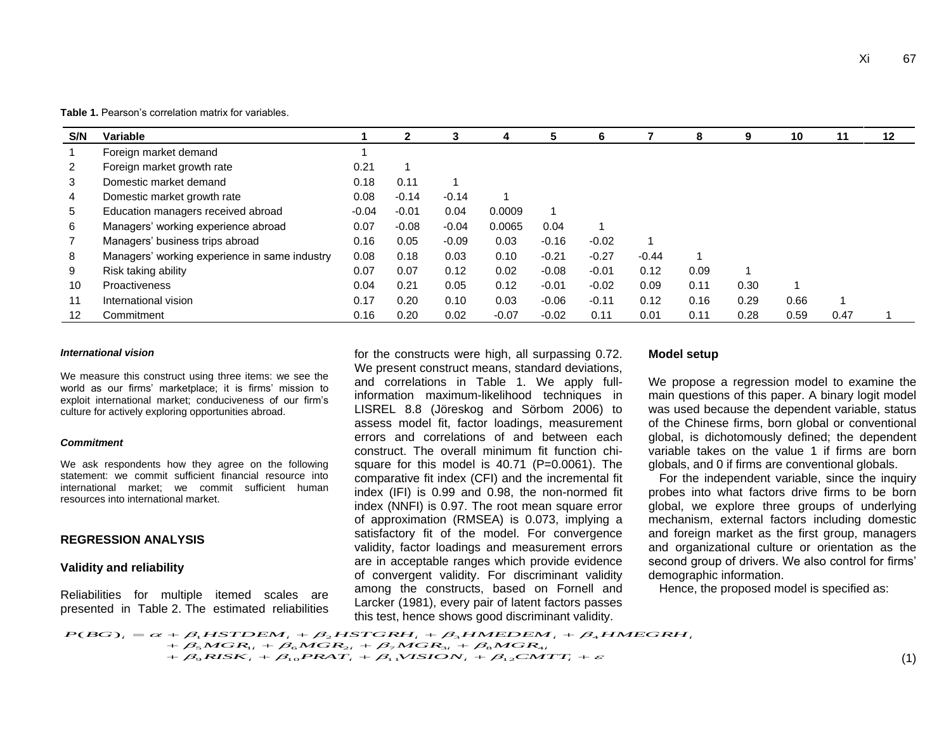**Table 1.** Pearson's correlation matrix for variables.

| S/N            | Variable                                      |         | $\mathbf{2}$ | 3       |         |         | 6       |         | 8    | 9    | 10   | 11   | $12 \,$ |
|----------------|-----------------------------------------------|---------|--------------|---------|---------|---------|---------|---------|------|------|------|------|---------|
|                | Foreign market demand                         |         |              |         |         |         |         |         |      |      |      |      |         |
| 2              | Foreign market growth rate                    | 0.21    | 1            |         |         |         |         |         |      |      |      |      |         |
| 3              | Domestic market demand                        | 0.18    | 0.11         |         |         |         |         |         |      |      |      |      |         |
| $\overline{4}$ | Domestic market growth rate                   | 0.08    | $-0.14$      | $-0.14$ |         |         |         |         |      |      |      |      |         |
| 5              | Education managers received abroad            | $-0.04$ | $-0.01$      | 0.04    | 0.0009  |         |         |         |      |      |      |      |         |
| 6              | Managers' working experience abroad           | 0.07    | $-0.08$      | $-0.04$ | 0.0065  | 0.04    |         |         |      |      |      |      |         |
|                | Managers' business trips abroad               | 0.16    | 0.05         | $-0.09$ | 0.03    | $-0.16$ | $-0.02$ |         |      |      |      |      |         |
| 8              | Managers' working experience in same industry | 0.08    | 0.18         | 0.03    | 0.10    | $-0.21$ | $-0.27$ | $-0.44$ |      |      |      |      |         |
| 9              | Risk taking ability                           | 0.07    | 0.07         | 0.12    | 0.02    | $-0.08$ | $-0.01$ | 0.12    | 0.09 |      |      |      |         |
| 10             | <b>Proactiveness</b>                          | 0.04    | 0.21         | 0.05    | 0.12    | $-0.01$ | $-0.02$ | 0.09    | 0.11 | 0.30 | и    |      |         |
| 11             | International vision                          | 0.17    | 0.20         | 0.10    | 0.03    | $-0.06$ | $-0.11$ | 0.12    | 0.16 | 0.29 | 0.66 |      |         |
| 12             | Commitment                                    | 0.16    | 0.20         | 0.02    | $-0.07$ | $-0.02$ | 0.11    | 0.01    | 0.11 | 0.28 | 0.59 | 0.47 |         |

#### *International vision*

We measure this construct using three items: we see the world as our firms' marketplace; it is firms' mission to exploit international market; conduciveness of our firm's culture for actively exploring opportunities abroad.

#### *Commitment*

We ask respondents how they agree on the following statement: we commit sufficient financial resource into international market; we commit sufficient human resources into international market.

#### **REGRESSION ANALYSIS**

#### **Validity and reliability**

Reliabilities for multiple itemed scales are presented in Table 2. The estimated reliabilities for the constructs were high, all surpassing 0.72. We present construct means, standard deviations, and correlations in Table 1. We apply fullinformation maximum-likelihood techniques in LISREL 8.8 (Jöreskog and Sörbom 2006) to assess model fit, factor loadings, measurement errors and correlations of and between each construct. The overall minimum fit function chisquare for this model is 40.71 (P=0.0061). The comparative fit index (CFI) and the incremental fit index (IFI) is 0.99 and 0.98, the non-normed fit index (NNFI) is 0.97. The root mean square error of approximation (RMSEA) is 0.073, implying a satisfactory fit of the model. For convergence validity, factor loadings and measurement errors are in acceptable ranges which provide evidence of convergent validity. For discriminant validity among the constructs, based on Fornell and Larcker (1981), every pair of latent factors passes this test, hence shows good discriminant validity.

#### **Model setup**

We propose a regression model to examine the main questions of this paper. A binary logit model was used because the dependent variable, status of the Chinese firms, born global or conventional global, is dichotomously defined; the dependent variable takes on the value 1 if firms are born globals, and 0 if firms are conventional globals.

For the independent variable, since the inquiry probes into what factors drive firms to be born global, we explore three groups of underlying mechanism, external factors including domestic and foreign market as the first group, managers and organizational culture or orientation as the second group of drivers. We also control for firms' demographic information.

Hence, the proposed model is specified as:

 $\alpha + \beta_5 MGR_{1i} + \beta_6 MGR_{2i} + \beta_7 MGR_{3i} + \beta_8 MGR_{4i} \ + \beta_9 RISK_i + \beta_{10} PRAT_i + \beta_{11} VISION_i + \beta_{12} CMTT_i + \varepsilon$  $\begin{aligned} &+\beta_1 HSTDEM_i + \beta_2 HSTGRH_i + \beta_3 HMEDEM \ &+\beta_3 MGR_{1i} + \beta_6 MGR_{2i} + \beta_7 MGR_{3i} + \beta_8 MGR_{4i} \end{aligned}$  $P(BG)_i = \alpha + \beta_1 HSTDEM_i + \beta_2 HSTGRH_i + \beta_3 HMEDEM_i + \beta_4 HMEGRH_i$ this test, hence shows good di<br>  $\eta_1$  HSTDEM, +  $\beta_2$  HSTGRH, +  $\beta_3$  HMEL<br>  $\eta_5$  MGR<sub>1</sub>, +  $\beta_6$  MGR<sub>2i</sub> +  $\beta_7$  MGR<sub>3i</sub> +  $\beta_8$  Me<br>  $\eta_5$  RISK, +  $\beta_{10}$  PRAT, +  $\beta_{11}$  VISION, +  $\beta_{12}$  $\begin{aligned} P(BG)_i = \alpha + \beta_1 HSTDEM_i + \beta_2 HSTGRH_i + \beta_3 HMEDEM_i + \beta_4\ + \beta_5 MGR_{1i} + \beta_6 MGR_{2i} + \beta_7 MGR_{3i} + \beta_8 MGR_{4i} \end{aligned}$  $(BG)$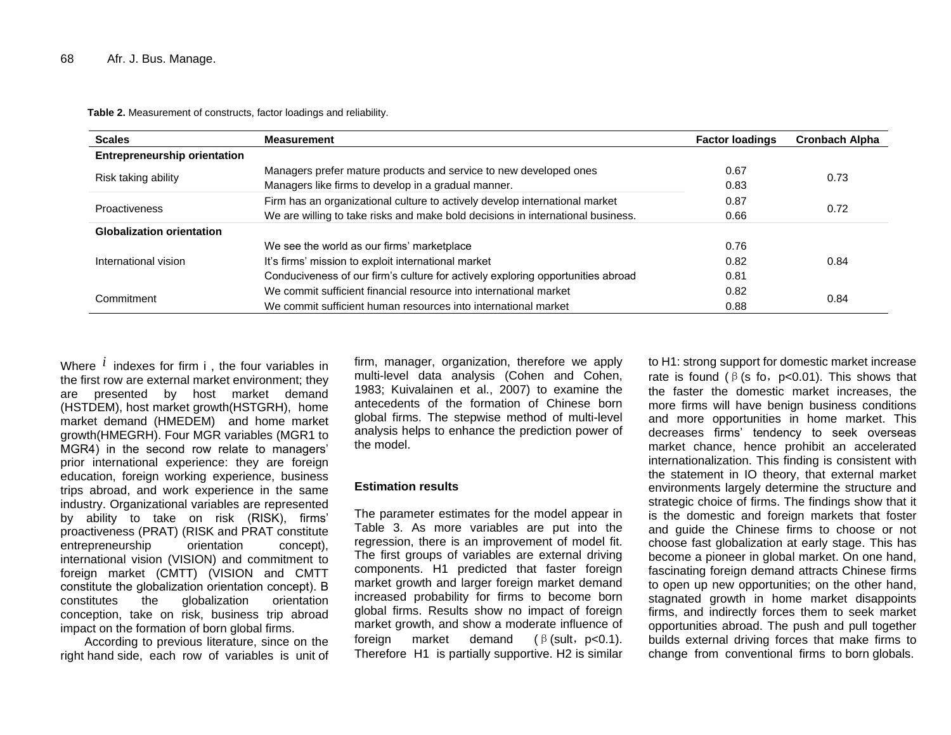**Table 2.** Measurement of constructs, factor loadings and reliability.

| <b>Scales</b>                       | <b>Measurement</b>                                                              | <b>Factor loadings</b> | <b>Cronbach Alpha</b> |  |
|-------------------------------------|---------------------------------------------------------------------------------|------------------------|-----------------------|--|
| <b>Entrepreneurship orientation</b> |                                                                                 |                        |                       |  |
|                                     | Managers prefer mature products and service to new developed ones               | 0.67                   |                       |  |
| Risk taking ability                 | Managers like firms to develop in a gradual manner.                             | 0.83                   | 0.73                  |  |
| Proactiveness                       | Firm has an organizational culture to actively develop international market     | 0.87                   | 0.72                  |  |
|                                     | We are willing to take risks and make bold decisions in international business. | 0.66                   |                       |  |
| <b>Globalization orientation</b>    |                                                                                 |                        |                       |  |
|                                     | We see the world as our firms' marketplace                                      | 0.76                   |                       |  |
| International vision                | It's firms' mission to exploit international market                             | 0.82                   | 0.84                  |  |
|                                     | Conduciveness of our firm's culture for actively exploring opportunities abroad | 0.81                   |                       |  |
| Commitment                          | We commit sufficient financial resource into international market               | 0.82                   |                       |  |
|                                     | We commit sufficient human resources into international market                  | 0.88                   | 0.84                  |  |

Where  $\,i\,$  indexes for firm i , the four variables in the first row are external market environment; they are presented by host market demand (HSTDEM), host market growth(HSTGRH), home market demand (HMEDEM) and home market growth(HMEGRH). Four MGR variables (MGR1 to MGR4) in the second row relate to managers' prior international experience: they are foreign education, foreign working experience, business trips abroad, and work experience in the same industry. Organizational variables are represented by ability to take on risk (RISK), firms' proactiveness (PRAT) (RISK and PRAT constitute entrepreneurship orientation concept), international vision (VISION) and commitment to foreign market (CMTT) (VISION and CMTT constitute the globalization orientation concept). Β constitutes the globalization orientation conception, take on risk, business trip abroad impact on the formation of born global firms.

According to previous literature, since on the right hand side, each row of variables is unit of firm, manager, organization, therefore we apply multi-level data analysis (Cohen and Cohen, 1983; Kuivalainen et al., 2007) to examine the antecedents of the formation of Chinese born global firms. The stepwise method of multi-level analysis helps to enhance the prediction power of the model.

#### **Estimation results**

The parameter estimates for the model appear in Table 3. As more variables are put into the regression, there is an improvement of model fit. The first groups of variables are external driving components. H1 predicted that faster foreign market growth and larger foreign market demand increased probability for firms to become born global firms. Results show no impact of foreign market growth, and show a moderate influence of foreign market demand  $(\beta$  (sult, p<0.1). Therefore H1 is partially supportive. H2 is similar

to H1: strong support for domestic market increase rate is found ( $\beta$  (s fo, p<0.01). This shows that the faster the domestic market increases, the more firms will have benign business conditions and more opportunities in home market. This decreases firms' tendency to seek overseas market chance, hence prohibit an accelerated internationalization. This finding is consistent with the statement in IO theory, that external market environments largely determine the structure and strategic choice of firms. The findings show that it is the domestic and foreign markets that foster and guide the Chinese firms to choose or not choose fast globalization at early stage. This has become a pioneer in global market. On one hand, fascinating foreign demand attracts Chinese firms to open up new opportunities; on the other hand, stagnated growth in home market disappoints firms, and indirectly forces them to seek market opportunities abroad. The push and pull together builds external driving forces that make firms to change from conventional firms to born globals.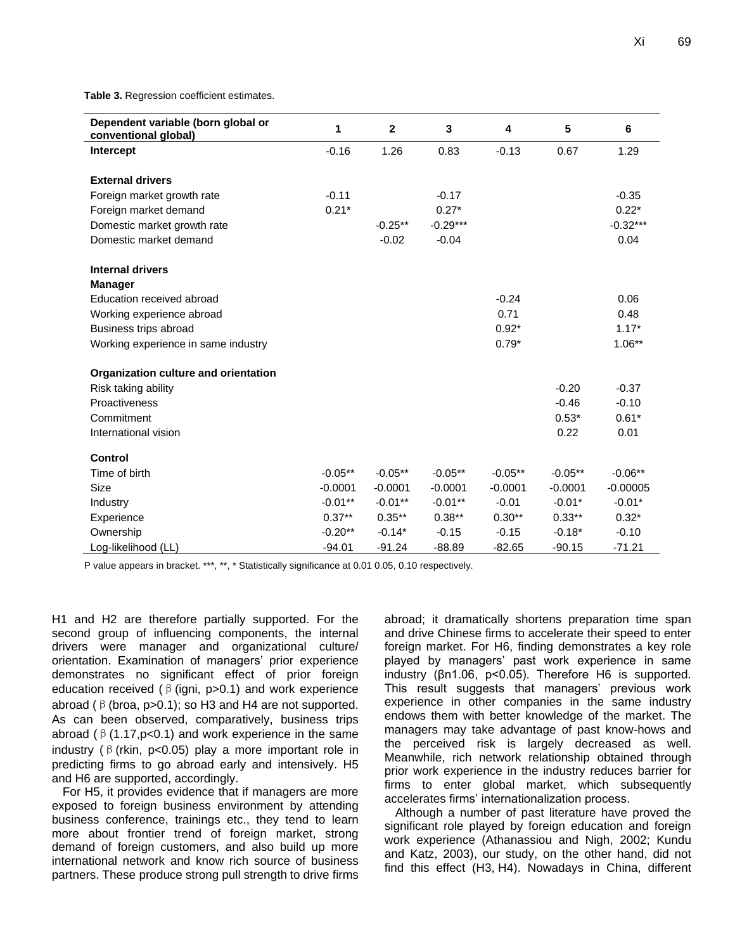**Table 3.** Regression coefficient estimates.

| Dependent variable (born global or<br>conventional global) | 1          | $\mathbf{2}$ | 3          | 4         | 5         | 6          |
|------------------------------------------------------------|------------|--------------|------------|-----------|-----------|------------|
| Intercept                                                  | $-0.16$    | 1.26         | 0.83       | $-0.13$   | 0.67      | 1.29       |
|                                                            |            |              |            |           |           |            |
| <b>External drivers</b>                                    |            |              |            |           |           |            |
| Foreign market growth rate                                 | $-0.11$    |              | $-0.17$    |           |           | $-0.35$    |
| Foreign market demand                                      | $0.21*$    |              | $0.27*$    |           |           | $0.22*$    |
| Domestic market growth rate                                |            | $-0.25**$    | $-0.29***$ |           |           | $-0.32***$ |
| Domestic market demand                                     |            | $-0.02$      | $-0.04$    |           |           | 0.04       |
| <b>Internal drivers</b>                                    |            |              |            |           |           |            |
| <b>Manager</b>                                             |            |              |            |           |           |            |
| Education received abroad                                  |            |              |            | $-0.24$   |           | 0.06       |
| Working experience abroad                                  |            |              |            | 0.71      |           | 0.48       |
| Business trips abroad                                      |            |              |            | $0.92*$   |           | $1.17*$    |
| Working experience in same industry                        |            |              |            | $0.79*$   |           | $1.06**$   |
| Organization culture and orientation                       |            |              |            |           |           |            |
| Risk taking ability                                        |            |              |            |           | $-0.20$   | $-0.37$    |
| Proactiveness                                              |            |              |            |           | $-0.46$   | $-0.10$    |
| Commitment                                                 |            |              |            |           | $0.53*$   | $0.61*$    |
| International vision                                       |            |              |            |           | 0.22      | 0.01       |
| <b>Control</b>                                             |            |              |            |           |           |            |
| Time of birth                                              | $-0.05**$  | $-0.05**$    | $-0.05**$  | $-0.05**$ | $-0.05**$ | $-0.06**$  |
| <b>Size</b>                                                | $-0.0001$  | $-0.0001$    | $-0.0001$  | $-0.0001$ | $-0.0001$ | $-0.00005$ |
| Industry                                                   | $-0.01***$ | $-0.01**$    | $-0.01***$ | $-0.01$   | $-0.01*$  | $-0.01*$   |
| Experience                                                 | $0.37***$  | $0.35***$    | $0.38**$   | $0.30**$  | $0.33**$  | $0.32*$    |
| Ownership                                                  | $-0.20**$  | $-0.14*$     | $-0.15$    | $-0.15$   | $-0.18*$  | $-0.10$    |
| Log-likelihood (LL)                                        | $-94.01$   | $-91.24$     | $-88.89$   | $-82.65$  | $-90.15$  | $-71.21$   |

P value appears in bracket. \*\*\*, \*\*, \* Statistically significance at 0.01 0.05, 0.10 respectively.

H1 and H2 are therefore partially supported. For the second group of influencing components, the internal drivers were manager and organizational culture/ orientation. Examination of managers' prior experience demonstrates no significant effect of prior foreign education received ( $\beta$  (igni, p>0.1) and work experience abroad ( $\beta$  (broa, p>0.1); so H3 and H4 are not supported. As can been observed, comparatively, business trips abroad ( $\beta$  (1.17, p < 0.1) and work experience in the same industry ( $\beta$  (rkin, p<0.05) play a more important role in predicting firms to go abroad early and intensively. H5 and H6 are supported, accordingly.

For H5, it provides evidence that if managers are more exposed to foreign business environment by attending business conference, trainings etc., they tend to learn more about frontier trend of foreign market, strong demand of foreign customers, and also build up more international network and know rich source of business partners. These produce strong pull strength to drive firms abroad; it dramatically shortens preparation time span and drive Chinese firms to accelerate their speed to enter foreign market. For H6, finding demonstrates a key role played by managers' past work experience in same industry (βn1.06, p<0.05). Therefore H6 is supported. This result suggests that managers' previous work experience in other companies in the same industry endows them with better knowledge of the market. The managers may take advantage of past know-hows and the perceived risk is largely decreased as well. Meanwhile, rich network relationship obtained through prior work experience in the industry reduces barrier for firms to enter global market, which subsequently accelerates firms' internationalization process.

Although a number of past literature have proved the significant role played by foreign education and foreign work experience (Athanassiou and Nigh, 2002; Kundu and Katz, 2003), our study, on the other hand, did not find this effect (H3, H4). Nowadays in China, different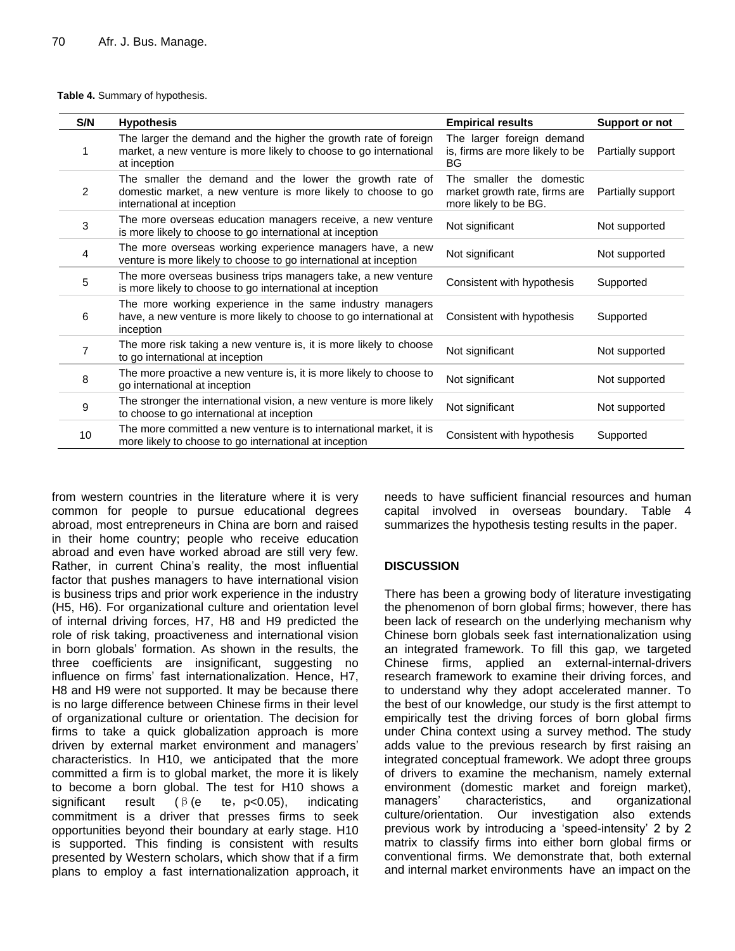|  |  |  |  | Table 4. Summary of hypothesis. |
|--|--|--|--|---------------------------------|
|--|--|--|--|---------------------------------|

| S/N | <b>Hypothesis</b>                                                                                                                                      | <b>Empirical results</b>                                                           | <b>Support or not</b> |
|-----|--------------------------------------------------------------------------------------------------------------------------------------------------------|------------------------------------------------------------------------------------|-----------------------|
| 1   | The larger the demand and the higher the growth rate of foreign<br>market, a new venture is more likely to choose to go international<br>at inception  | The larger foreign demand<br>is, firms are more likely to be<br>BG                 | Partially support     |
| 2   | The smaller the demand and the lower the growth rate of<br>domestic market, a new venture is more likely to choose to go<br>international at inception | The smaller the domestic<br>market growth rate, firms are<br>more likely to be BG. | Partially support     |
| 3   | The more overseas education managers receive, a new venture<br>is more likely to choose to go international at inception                               | Not significant                                                                    | Not supported         |
| 4   | The more overseas working experience managers have, a new<br>venture is more likely to choose to go international at inception                         | Not significant                                                                    | Not supported         |
| 5   | The more overseas business trips managers take, a new venture<br>is more likely to choose to go international at inception                             | Consistent with hypothesis                                                         | Supported             |
| 6   | The more working experience in the same industry managers<br>have, a new venture is more likely to choose to go international at<br>inception          | Consistent with hypothesis                                                         | Supported             |
| 7   | The more risk taking a new venture is, it is more likely to choose<br>to go international at inception                                                 | Not significant                                                                    | Not supported         |
| 8   | The more proactive a new venture is, it is more likely to choose to<br>go international at inception                                                   | Not significant                                                                    | Not supported         |
| 9   | The stronger the international vision, a new venture is more likely<br>to choose to go international at inception                                      | Not significant                                                                    | Not supported         |
| 10  | The more committed a new venture is to international market, it is<br>more likely to choose to go international at inception                           | Consistent with hypothesis                                                         | Supported             |

from western countries in the literature where it is very common for people to pursue educational degrees abroad, most entrepreneurs in China are born and raised in their home country; people who receive education abroad and even have worked abroad are still very few. Rather, in current China's reality, the most influential factor that pushes managers to have international vision is business trips and prior work experience in the industry (H5, H6). For organizational culture and orientation level of internal driving forces, H7, H8 and H9 predicted the role of risk taking, proactiveness and international vision in born globals' formation. As shown in the results, the three coefficients are insignificant, suggesting no influence on firms' fast internationalization. Hence, H7, H8 and H9 were not supported. It may be because there is no large difference between Chinese firms in their level of organizational culture or orientation. The decision for firms to take a quick globalization approach is more driven by external market environment and managers' characteristics. In H10, we anticipated that the more committed a firm is to global market, the more it is likely to become a born global. The test for H10 shows a significant result (β(e te, p<0.05), indicating commitment is a driver that presses firms to seek opportunities beyond their boundary at early stage. H10 is supported. This finding is consistent with results presented by Western scholars, which show that if a firm plans to employ a fast internationalization approach, it

needs to have sufficient financial resources and human capital involved in overseas boundary. Table 4 summarizes the hypothesis testing results in the paper.

# **DISCUSSION**

There has been a growing body of literature investigating the phenomenon of born global firms; however, there has been lack of research on the underlying mechanism why Chinese born globals seek fast internationalization using an integrated framework. To fill this gap, we targeted Chinese firms, applied an external-internal-drivers research framework to examine their driving forces, and to understand why they adopt accelerated manner. To the best of our knowledge, our study is the first attempt to empirically test the driving forces of born global firms under China context using a survey method. The study adds value to the previous research by first raising an integrated conceptual framework. We adopt three groups of drivers to examine the mechanism, namely external environment (domestic market and foreign market), managers' characteristics, and organizational culture/orientation. Our investigation also extends previous work by introducing a 'speed-intensity' 2 by 2 matrix to classify firms into either born global firms or conventional firms. We demonstrate that, both external and internal market environments have an impact on the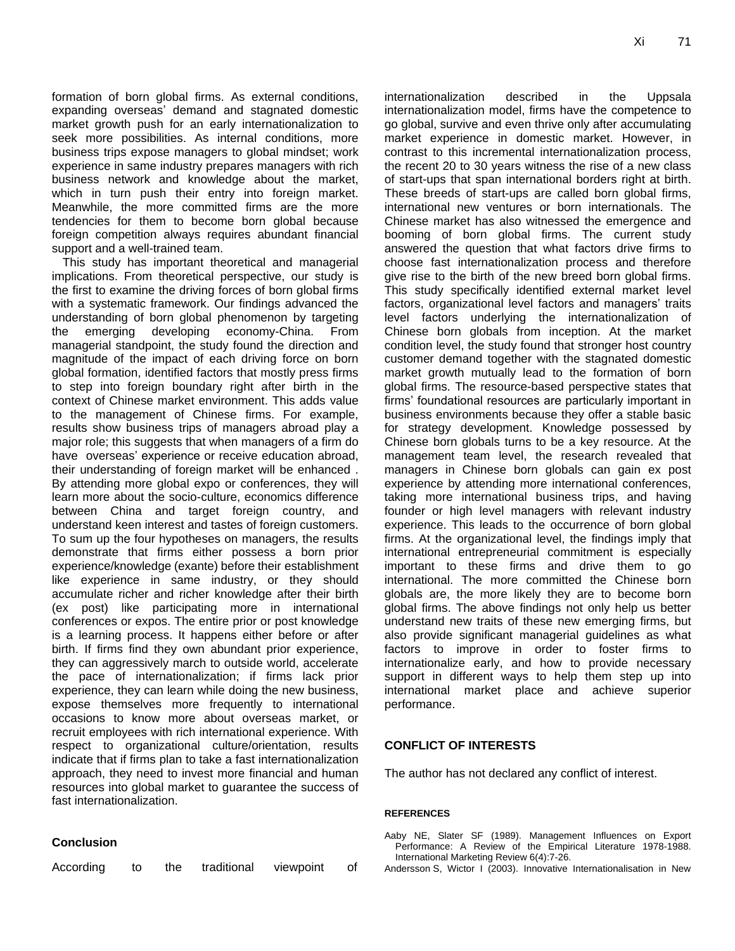formation of born global firms. As external conditions, expanding overseas' demand and stagnated domestic market growth push for an early internationalization to seek more possibilities. As internal conditions, more business trips expose managers to global mindset; work experience in same industry prepares managers with rich business network and knowledge about the market, which in turn push their entry into foreign market. Meanwhile, the more committed firms are the more tendencies for them to become born global because foreign competition always requires abundant financial support and a well-trained team.

This study has important theoretical and managerial implications. From theoretical perspective, our study is the first to examine the driving forces of born global firms with a systematic framework. Our findings advanced the understanding of born global phenomenon by targeting the emerging developing economy-China. From managerial standpoint, the study found the direction and magnitude of the impact of each driving force on born global formation, identified factors that mostly press firms to step into foreign boundary right after birth in the context of Chinese market environment. This adds value to the management of Chinese firms. For example, results show business trips of managers abroad play a major role; this suggests that when managers of a firm do have overseas' experience or receive education abroad, their understanding of foreign market will be enhanced . By attending more global expo or conferences, they will learn more about the socio-culture, economics difference between China and target foreign country, and understand keen interest and tastes of foreign customers. To sum up the four hypotheses on managers, the results demonstrate that firms either possess a born prior experience/knowledge (exante) before their establishment like experience in same industry, or they should accumulate richer and richer knowledge after their birth (ex post) like participating more in international conferences or expos. The entire prior or post knowledge is a learning process. It happens either before or after birth. If firms find they own abundant prior experience, they can aggressively march to outside world, accelerate the pace of internationalization; if firms lack prior experience, they can learn while doing the new business, expose themselves more frequently to international occasions to know more about overseas market, or recruit employees with rich international experience. With respect to organizational culture/orientation, results indicate that if firms plan to take a fast internationalization approach, they need to invest more financial and human resources into global market to guarantee the success of fast internationalization.

## **Conclusion**

| According | the | traditional | viewpoint |  |
|-----------|-----|-------------|-----------|--|
|-----------|-----|-------------|-----------|--|

internationalization described in the Uppsala internationalization model, firms have the competence to go global, survive and even thrive only after accumulating market experience in domestic market. However, in contrast to this incremental internationalization process, the recent 20 to 30 years witness the rise of a new class of start-ups that span international borders right at birth. These breeds of start-ups are called born global firms, international new ventures or born internationals. The Chinese market has also witnessed the emergence and booming of born global firms. The current study answered the question that what factors drive firms to choose fast internationalization process and therefore give rise to the birth of the new breed born global firms. This study specifically identified external market level factors, organizational level factors and managers' traits level factors underlying the internationalization of Chinese born globals from inception. At the market condition level, the study found that stronger host country customer demand together with the stagnated domestic market growth mutually lead to the formation of born global firms. The resource-based perspective states that firms' foundational resources are particularly important in business environments because they offer a stable basic for strategy development. Knowledge possessed by Chinese born globals turns to be a key resource. At the management team level, the research revealed that managers in Chinese born globals can gain ex post experience by attending more international conferences, taking more international business trips, and having founder or high level managers with relevant industry experience. This leads to the occurrence of born global firms. At the organizational level, the findings imply that international entrepreneurial commitment is especially important to these firms and drive them to go international. The more committed the Chinese born globals are, the more likely they are to become born global firms. The above findings not only help us better understand new traits of these new emerging firms, but also provide significant managerial guidelines as what factors to improve in order to foster firms to internationalize early, and how to provide necessary support in different ways to help them step up into international market place and achieve superior performance.

## **CONFLICT OF INTERESTS**

The author has not declared any conflict of interest.

#### **REFERENCES**

Aaby NE, Slater SF (1989). Management Influences on Export Performance: A Review of the Empirical Literature 1978-1988. International Marketing Review 6(4):7-26.

Andersson S, Wictor I (2003). Innovative Internationalisation in New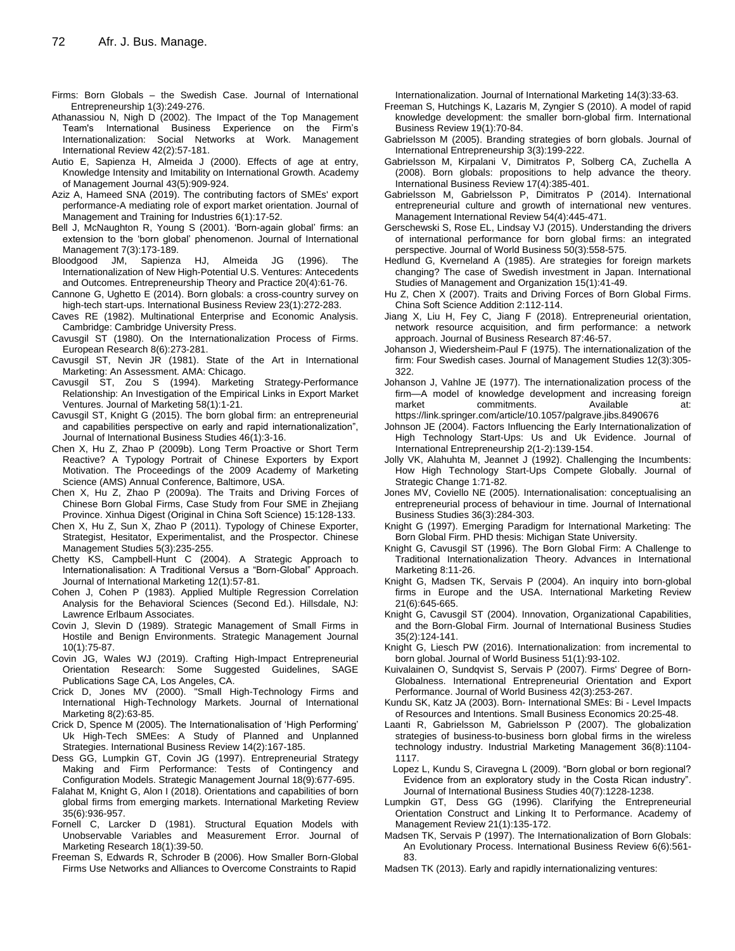- Firms: Born Globals the Swedish Case. Journal of International Entrepreneurship 1(3):249-276.
- Athanassiou N, Nigh D (2002). The Impact of the Top Management Team's International Business Experience on the Firm's Internationalization: Social Networks at Work. Management International Review 42(2):57-181.
- Autio E, Sapienza H, Almeida J (2000). Effects of age at entry, Knowledge Intensity and Imitability on International Growth. Academy of Management Journal 43(5):909-924.
- Aziz A, Hameed SNA (2019). The contributing factors of SMEs' export performance-A mediating role of export market orientation. Journal of Management and Training for Industries 6(1):17-52.
- Bell J, McNaughton R, Young S (2001). 'Born-again global' firms: an extension to the 'born global' phenomenon. Journal of International Management 7(3):173-189.
- Bloodgood JM, Sapienza HJ, Almeida JG (1996). The Internationalization of New High-Potential U.S. Ventures: Antecedents and Outcomes. Entrepreneurship Theory and Practice 20(4):61-76.
- Cannone G, Ughetto E (2014). Born globals: a cross-country survey on high-tech start-ups. International Business Review 23(1):272-283.
- Caves RE (1982). Multinational Enterprise and Economic Analysis. Cambridge: Cambridge University Press.
- Cavusgil ST (1980). On the Internationalization Process of Firms. European Research 8(6):273-281.
- Cavusgil ST, Nevin JR (1981). State of the Art in International Marketing: An Assessment. AMA: Chicago.
- Cavusgil ST, Zou S (1994). Marketing Strategy-Performance Relationship: An Investigation of the Empirical Links in Export Market Ventures. Journal of Marketing 58(1):1-21.
- Cavusgil ST, Knight G (2015). The born global firm: an entrepreneurial and capabilities perspective on early and rapid internationalization", Journal of International Business Studies 46(1):3-16.
- Chen X, Hu Z, Zhao P (2009b). Long Term Proactive or Short Term Reactive? A Typology Portrait of Chinese Exporters by Export Motivation. The Proceedings of the 2009 Academy of Marketing Science (AMS) Annual Conference, Baltimore, USA.
- Chen X, Hu Z, Zhao P (2009a). The Traits and Driving Forces of Chinese Born Global Firms, Case Study from Four SME in Zhejiang Province. Xinhua Digest (Original in China Soft Science) 15:128-133.
- Chen X, Hu Z, Sun X, Zhao P (2011). Typology of Chinese Exporter, Strategist, Hesitator, Experimentalist, and the Prospector. Chinese Management Studies 5(3):235-255.
- Chetty KS, Campbell-Hunt C (2004). A Strategic Approach to Internationalisation: A Traditional Versus a "Born-Global" Approach. Journal of International Marketing 12(1):57-81.
- Cohen J, Cohen P (1983). Applied Multiple Regression Correlation Analysis for the Behavioral Sciences (Second Ed.). Hillsdale, NJ: Lawrence Erlbaum Associates.
- Covin J, Slevin D (1989). Strategic Management of Small Firms in Hostile and Benign Environments. Strategic Management Journal 10(1):75-87.
- Covin JG, Wales WJ (2019). Crafting High-Impact Entrepreneurial Orientation Research: Some Suggested Guidelines, SAGE Publications Sage CA, Los Angeles, CA.
- Crick D, Jones MV (2000). "Small High-Technology Firms and International High-Technology Markets. Journal of International Marketing 8(2):63-85.
- Crick D, Spence M (2005). The Internationalisation of ‗High Performing' Uk High-Tech SMEes: A Study of Planned and Unplanned Strategies. International Business Review 14(2):167-185.
- Dess GG, Lumpkin GT, Covin JG (1997). Entrepreneurial Strategy Making and Firm Performance: Tests of Contingency and Configuration Models. Strategic Management Journal 18(9):677-695.
- Falahat M, Knight G, Alon I (2018). Orientations and capabilities of born global firms from emerging markets. International Marketing Review 35(6):936-957.
- Fornell C, Larcker D (1981). Structural Equation Models with Unobservable Variables and Measurement Error. Journal of Marketing Research 18(1):39-50.
- Freeman S, Edwards R, Schroder B (2006). How Smaller Born-Global Firms Use Networks and Alliances to Overcome Constraints to Rapid

Internationalization. Journal of International Marketing 14(3):33-63.

- Freeman S, Hutchings K, Lazaris M, Zyngier S (2010). A model of rapid knowledge development: the smaller born-global firm. International Business Review 19(1):70-84.
- Gabrielsson M (2005). Branding strategies of born globals. Journal of International Entrepreneurship 3(3):199-222.
- Gabrielsson M, Kirpalani V, Dimitratos P, Solberg CA, Zuchella A (2008). Born globals: propositions to help advance the theory. International Business Review 17(4):385-401.
- Gabrielsson M, Gabrielsson P, Dimitratos P (2014). International entrepreneurial culture and growth of international new ventures. Management International Review 54(4):445-471.
- Gerschewski S, Rose EL, Lindsay VJ (2015). Understanding the drivers of international performance for born global firms: an integrated perspective. Journal of World Business 50(3):558-575.
- Hedlund G, Kverneland A (1985). Are strategies for foreign markets changing? The case of Swedish investment in Japan. International Studies of Management and Organization 15(1):41-49.
- Hu Z, Chen X (2007). Traits and Driving Forces of Born Global Firms. China Soft Science Addition 2:112-114.
- Jiang X, Liu H, Fey C, Jiang F (2018). Entrepreneurial orientation, network resource acquisition, and firm performance: a network approach. Journal of Business Research 87:46-57.
- Johanson J, Wiedersheim-Paul F (1975). The internationalization of the firm: Four Swedish cases. Journal of Management Studies 12(3):305- 322.
- Johanson J, Vahlne JE (1977). The internationalization process of the firm—A model of knowledge development and increasing foreign market commitments. Available at: <https://link.springer.com/article/10.1057/palgrave.jibs.8490676>
- Johnson JE (2004). Factors Influencing the Early Internationalization of High Technology Start-Ups: Us and Uk Evidence. Journal of International Entrepreneurship 2(1-2):139-154.
- Jolly VK, Alahuhta M, Jeannet J (1992). Challenging the Incumbents: How High Technology Start-Ups Compete Globally. Journal of Strategic Change 1:71-82.
- Jones MV, Coviello NE (2005). Internationalisation: conceptualising an entrepreneurial process of behaviour in time. Journal of International Business Studies 36(3):284-303.
- Knight G (1997). Emerging Paradigm for International Marketing: The Born Global Firm. PHD thesis: Michigan State University.
- Knight G, Cavusgil ST (1996). The Born Global Firm: A Challenge to Traditional Internationalization Theory. Advances in International Marketing 8:11-26.
- Knight G, Madsen TK, Servais P (2004). An inquiry into born-global firms in Europe and the USA. International Marketing Review 21(6):645-665.
- Knight G, Cavusgil ST (2004). Innovation, Organizational Capabilities, and the Born-Global Firm. Journal of International Business Studies 35(2):124-141.
- Knight G, Liesch PW (2016). Internationalization: from incremental to born global. Journal of World Business 51(1):93-102.
- Kuivalainen O, Sundqvist S, Servais P (2007). Firms' Degree of Born-Globalness. International Entrepreneurial Orientation and Export Performance. Journal of World Business 42(3):253-267.
- Kundu SK, Katz JA (2003). Born- International SMEs: Bi Level Impacts of Resources and Intentions. Small Business Economics 20:25-48.
- Laanti R, Gabrielsson M, Gabrielsson P (2007). The globalization strategies of business-to-business born global firms in the wireless technology industry. Industrial Marketing Management 36(8):1104- 1117.
- Lopez L, Kundu S, Ciravegna L (2009). "Born global or born regional? Evidence from an exploratory study in the Costa Rican industry". Journal of International Business Studies 40(7):1228-1238.
- Lumpkin GT, Dess GG (1996). Clarifying the Entrepreneurial Orientation Construct and Linking It to Performance. Academy of Management Review 21(1):135-172.
- Madsen TK, Servais P (1997). The Internationalization of Born Globals: An Evolutionary Process. International Business Review 6(6):561- 83.
- Madsen TK (2013). Early and rapidly internationalizing ventures: